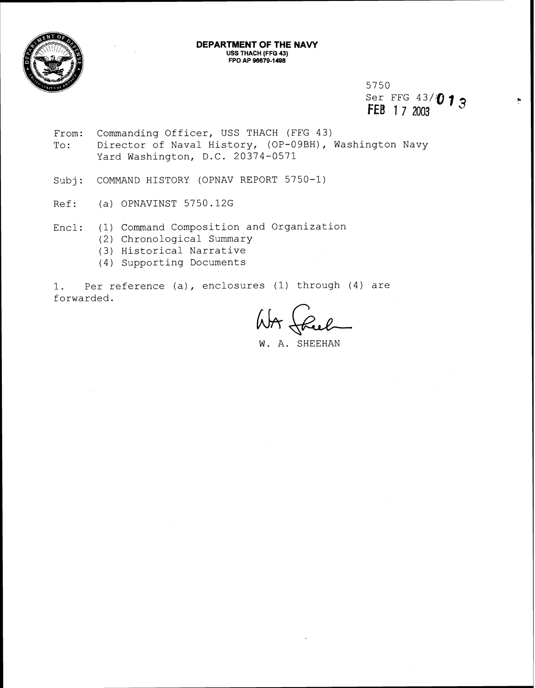

#### **DEPARTMENT OF THE NAW USS THACH (FFG 43) FPO AP 96679-1498**

5750<br>Ser FFG 43/**013 FEB** 1 7 2003

Ņ

- From: Commanding Officer, USS THACH (FFG 43) To: Director of Naval History, (OP-09BH), Washington Navy Yard Washington, D.C. 20374-0571
- Subj: COMMAND HISTORY (OPNAV REPORT 5750-1)
- Ref: (a) OPNAVINST 5750.12G
- Encl: (1) Command Composition and Organization
	- (2) Chronological Summary
		- (3) Historical Narrative
		- (4) Supporting Documents

1. Per reference (a), enclosures (1) through (4) are forwarded.

W. A. SHEEHAN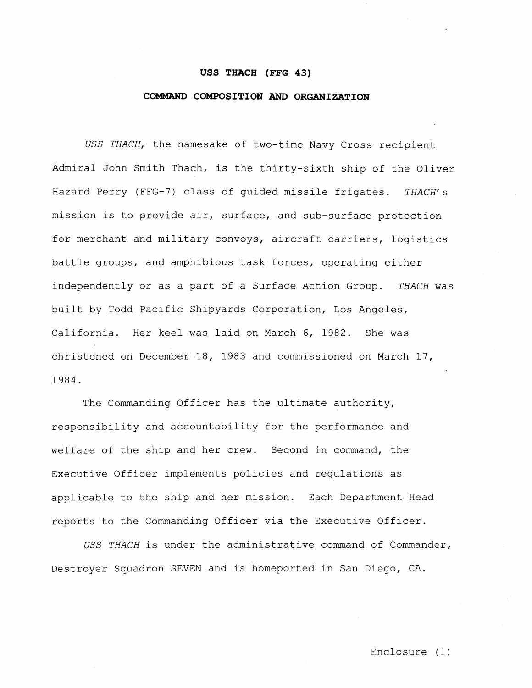#### **USS THACH (FFG 43)**

#### **COMMAND COMPOSITION AND ORGANIZATION**

USS THACH, the namesake of two-time Navy Cross recipient Admiral John Smith Thach, is the thirty-sixth ship of the Oliver Hazard Perry (FFG-7) class of quided missile frigates. THACH's mission is to provide air, surface, and sub-surface protection for merchant and military convoys, aircraft carriers, logistics battle groups, and amphibious task forces, operating either independently or as a part of a Surface Action Group. THACH was built by Todd Pacific Shipyards Corporation, Los Angeles, California. Her keel was laid on March 6, 1982. She was christened on December 18, 1983 and commissioned on March 17, 1984.

The Commanding Officer has the ultimate authority, responsibility and accountability for the performance and welfare of the ship and her crew. Second in command, the Executive Officer implements policies and regulations as applicable to the ship and her mission. Each Department Head reports to the Commanding Officer via the Executive Officer.

USS THACH is under the administrative command of Commander, Destroyer Squadron SEVEN and is homeported in San Diego, CA.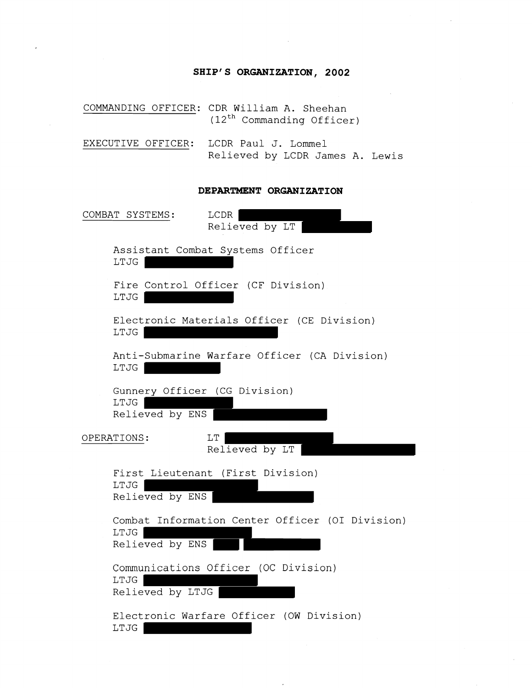# **SHIP'S ORGANIZATION, 2002**

COMMANDING OFFICER: CDR William A. Sheehan  $(12<sup>th</sup>$  Commanding Officer)

EXECUTIVE OFFICER: LCDR Paul J. Lommel Relieved by LCDR James A. Lewis

#### **DEPARTMENT ORGANIZATION**

| COMBAT SYSTEMS:<br>LCDR<br>Relieved by LT                                  |
|----------------------------------------------------------------------------|
| Assistant Combat Systems Officer<br>LTJG                                   |
| Fire Control Officer (CF Division)<br>LTJG                                 |
| Electronic Materials Officer (CE Division)<br>LTJG                         |
| Anti-Submarine Warfare Officer (CA Division)<br>LTJG                       |
| Gunnery Officer (CG Division)<br>LTJG<br>Relieved by ENS                   |
| OPERATIONS:<br>LT<br>Relieved by LT                                        |
| First Lieutenant (First Division)<br>LTJG<br>Relieved by ENS               |
| Combat Information Center Officer (OI Division)<br>LTJG<br>Relieved by ENS |
| Communications Officer (OC Division)<br>LTJG<br>Relieved by LTJG           |
| Electronic Warfare Officer (OW Division)<br>LTJG                           |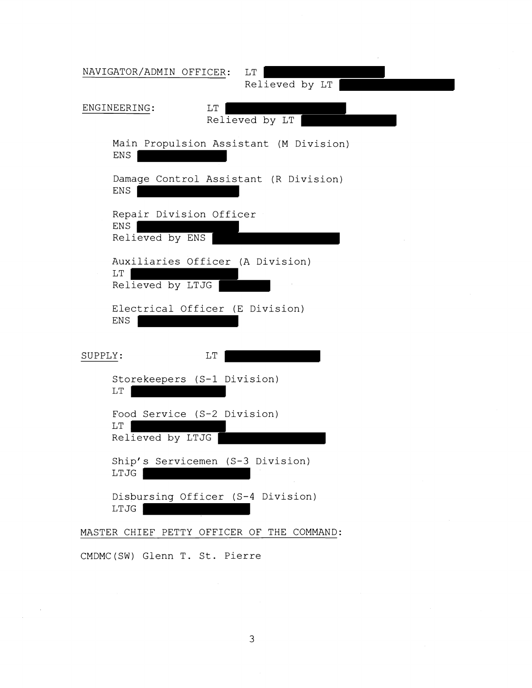| NAVIGATOR/ADMIN OFFICER:<br>LT                                   |
|------------------------------------------------------------------|
| Relieved by LT<br>ENGINEERING:<br>LT                             |
| Relieved by LT                                                   |
| Main Propulsion Assistant (M Division)<br>ENS                    |
| Damage Control Assistant (R Division)<br>ENS                     |
| Repair Division Officer<br>ENS<br>Relieved by ENS                |
| Auxiliaries Officer (A Division)<br>$\rm LT$<br>Relieved by LTJG |
| Electrical Officer (E Division)<br>ENS                           |
| SUPPLY:<br>LT                                                    |
| Storekeepers (S-1 Division)<br>$\mathop{\rm LT}\nolimits$        |
| Food Service (S-2 Division)<br>$\rm LT$<br>Relieved by LTJG      |
| Ship's Servicemen (S-3 Division)<br>LTJG                         |
| Disbursing Officer (S-4 Division)<br>LTJG                        |
| MASTER CHIEF PETTY OFFICER OF THE COMMAND:                       |
| CMDMC(SW) Glenn T. St. Pierre                                    |

 $\bar{z}$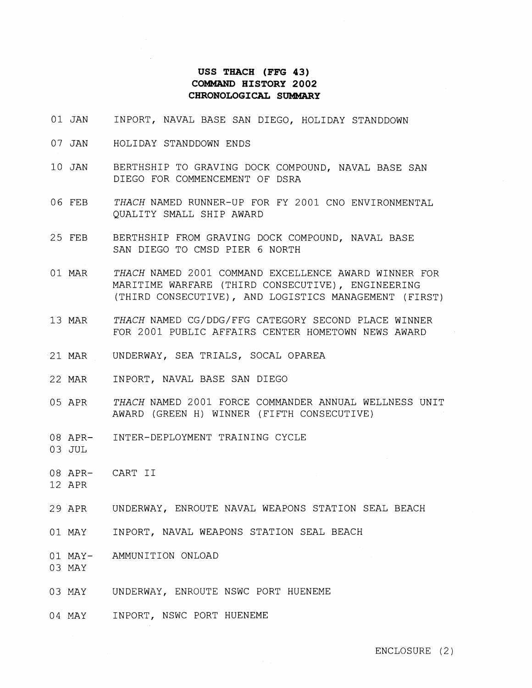## **USS THACH (FFG 43) COMMAND HISTORY 2002 CHRONOLOGICAI, SUMMARY**

- 01 JAN INPORT, NAVAL BASE SAN DIEGO, HOLIDAY STANDDOWN
- 07 JAN HOLIDAY STANDDOWN ENDS
- 10 JAN BERTHSHIP TO GRAVING DOCK COMPOUND, NAVAL BASE SAN DIEGO FOR COMMENCEMENT OF DSRA
- 06 FEB *THACH* NAMED RUNNER-UP FOR FY 2001 CNO ENVIRONMENTAL QUALITY SMALL SHIP AWARD
- 25 FEB BERTHSHIP FROM GRAVING DOCK COMPOUND, NAVAL BASE SAN DIEGO TO CMSD PIER 6 NORTH
- 01 MAR *THACH* NAMED 2001 COMMAND EXCELLENCE AWARD WINNER FOR MARITIME WARFARE (THIRD CONSECUTIVE), ENGINEERING (THIRD CONSECUTIVE), AND LOGISTICS MANAGEMENT (FIRST)
- 13 MAR *THACH* NAMED CG/DDG/FFG CATEGORY SECOND PLACE WINNER FOR 2001 PUBLIC AFFAIRS CENTER HOMETOWN NEWS AWARD
- 21 MAR UNDERWAY, SEA TRIALS, SOCAL OPAREA
- 22 MAR INPORT, NAVAL BASE SAN DIEGO
- 05 APR *THACH* NAMED 2001 FORCE COMMANDER ANNUAL WELLNESS UNIT AWARD (GREEN H) WINNER (FIFTH CONSECUTIVE)
- 08 APR-INTER-DEPLOYMENT TRAINING CYCLE
- 03 JUL
- 08 APR-CART I1
- 12 APR
- 29 APR UNDERWAY, ENROUTE NAVAL WEAPONS STATION SEAL BEACH
- 01 MAY INPORT, NAVAL WEAPONS STATION SEAL BEACH
- 01 MAY-AMMUNITION ONLOAD
- 03 MAY
- 03 MAY UNDERWAY, ENROUTE NSWC PORT HUENEME
- 04 MAY INPORT, NSWC PORT HUENEME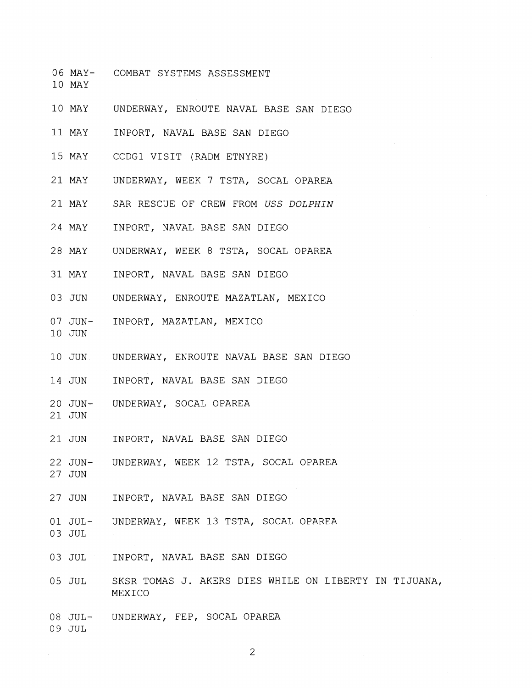- 06 MAY-COMBAT SYSTEMS ASSESSMENT
- 10 MAY
- 10 MAY UNDERWAY, ENROUTE NAVAL BASE SAN DIEGO
- 11 MAY INPORT, NAVAL BASE SAN DIEGO
- 15 MAY CCDGl VISIT (RADM ETNYRE)
- 21 MAY UNDERWAY, WEEK 7 TSTA, SOCAL OPAREA
- 21 MAY SAR RESCUE OF CREW FROM USS DOLPHIN
- 24 MAY INPORT, NAVAL BASE SAN DIEGO
- 28 MAY UNDERWAY, WEEK 8 TSTA, SOCAL OPAREA
- 31 MAY INPORT, NAVAL BASE SAN DIEGO
- 03 JUN UNDERWAY, ENROUTE MAZATLAN, MEXICO
- 07 JUN-INPORT, MAZATLAN, MEXICO
- 
- 10 JUN UNDERWAY, ENROUTE NAVAL BASE SAN DIEGO
- 14 JUN INPORT, NAVAL BASE SAN DIEGO
- 20 JUN-UNDERWAY, SOCAL OPAREA
- 21 JUN

10 JUN

- 21 JUN INPORT, NAVAL BASE SAN DIEGO
- 22 JUN-UNDERWAY, WEEK 12 TSTA, SOCAL OPAREA
- 27 JUN
- 27 JUN INPORT, NAVAL BASE SAN DIEGO
- 01 JUL-UNDERWAY, WEEK 13 TSTA, SOCAL OPAREA
- 03 JUL
- 03 JUL INPORT, NAVAL BASE SAN DIEGO
- 05 JUL SKSR TOMAS J. AKERS DIES WHILE ON LIBERTY IN TIJUANA, MEXICO
- 08 JUL-UNDERWAY, FEP, SOCAL OPAREA
- 09 JUL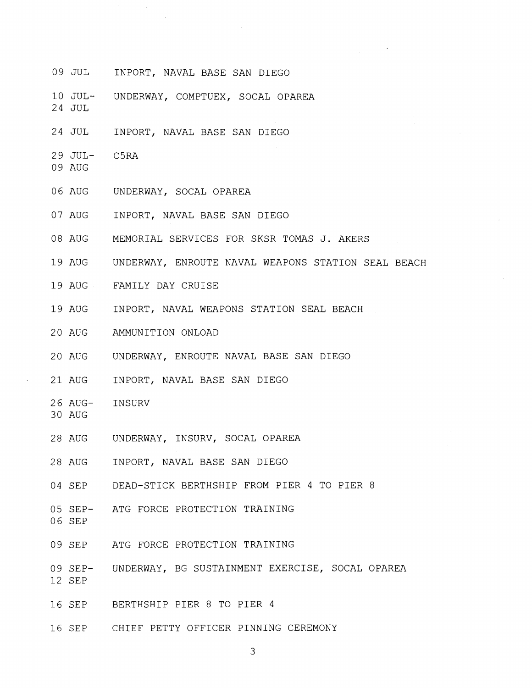09 JUL INPORT, NAVAL BASE SAN DIEGO

 $\sim$ 

- 10 JUL-UNDERWAY, COMPTUEX, SOCAL OPAREA
- 24 JUL
- 24 JUL INPORT, NAVAL BASE SAN DIEGO
- 29 JUL-C5RA
- 09 AUG
- 06 AUG UNDERWAY, SOCAL OPAREA
- 07 AUG INPORT, NAVAL BASE SAN DIEGO
- 08 AUG MEMORIAL SERVICES FOR SKSR TOMAS J. AKERS
- 19 AUG UNDERWAY, ENROUTE NAVAL WEAPONS STATION SEAL BEACH
- 19 AUG FAMILY DAY CRUISE
- 19 AUG INPORT, NAVAL WEAPONS STATION SEAL BEACH
- 20 AUG AMMUNITION ONLOAD
- 20 AUG UNDERWAY, ENROUTE NAVAL BASE SAN DIEGO
- 21 AUG INPORT, NAVAL BASE SAN DIEGO
- 26 AUG-INSURV
- 30 AUG
- 28 AUG UNDERWAY, INSURV, SOCAL OPAREA
- 28 AUG INPORT, NAVAL BASE SAN DIEGO
- 04 SEP DEAD-STICK BERTHSHIP FROM PIER 4 TO PIER 8
- 05 SEP-ATG FORCE PROTECTION TRAINING
- 06 SEP
- 09 SEP ATG FORCE PROTECTION TRAINING
- 09 SEP-12 SEP UNDERWAY, BG SUSTAINMENT EXERCISE, SOCAL OPAREA
- 16 SEP BERTHSHIP PIER 8 TO PIER 4
- 16 SEP CHIEF PETTY OFFICER PINNING CEREMONY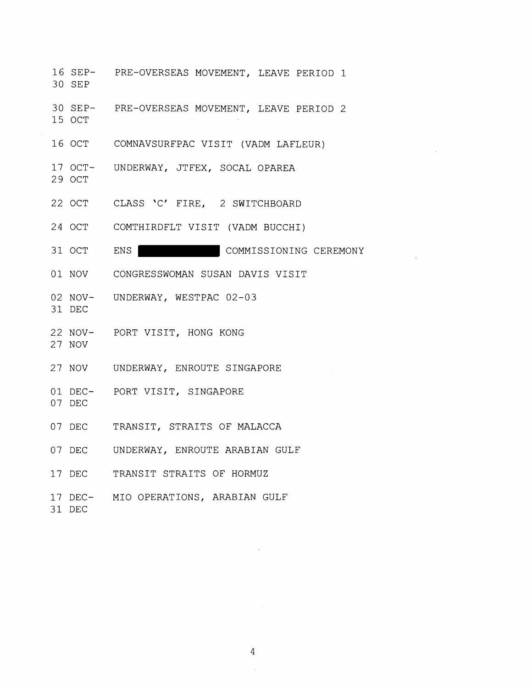- 16 SEP-30 SEP PRE-OVERSEAS MOVEMENT, LEAVE PERIOD 1
- 30 SEP-PRE-OVERSEAS MOVEMENT, LEAVE PERIOD 2
- 16 OCT COMNAVSURFPAC VISIT (VADM LAFLEUR)
- 17 OCT-UNDERWAY, JTFEX, SOCAL OPAREA
- 29 OCT

15 OCT

- 22 OCT CLASS 'C' FIRE, 2 SWITCHBOARD
- 24 OCT COMTHIRDFLT VISIT (VADM BUCCHI)

31 OCT ENS | COMMISSIONING CEREMONY

- 01 NOV CONGRESSWOMAN SUSAN DAVIS VISIT
- 02 NOV-UNDERWAY, WESTPAC 02-03
- 31 DEC
- 22 NOV-PORT VISIT, HONG KONG
- 27 NOV
- 27 NOV UNDERWAY, ENROUTE SINGAPORE
- 01 DEC-PORT VISIT, SINGAPORE
- 07 DEC
- 07 DEC TRANSIT, STRAITS OF MALACCA
- 07 DEC UNDERWAY, ENROUTE ARABIAN GULF
- 17 DEC TRANSIT STRAITS OF HORMUZ
- 17 DEC-MI0 OPERATIONS, ARABIAN GULF
- 31 DEC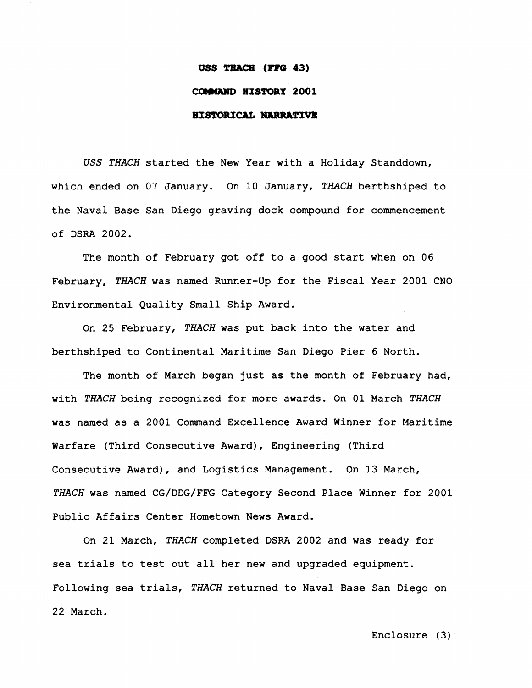#### USS THACH (FFG 43)

#### **COMMAND HISTORY 2001**

### **HISTORICAL NARRATIVE**

**USS** *THACH* started the New Year with a Holiday Standdown, which ended on 07 January. On 10 January, THACH berthshiped to the Naval Base San Diego graving dock compound for commencement of DSRA 2002.

The month of February got off to a good start when on 06 February, *THACH* was named Runner-Up for the Fiscal Year 2001 CNO Environmental Quality Small Ship Award.

On 25 February, *THACH was* put back into the water and berthshiped to Continental Maritime San Diego Pier 6 North.

The month of March began just as the month of February had, with THACH being recognized for more awards. On **01** March THACH was named as a 2001 Command Excellence Award Winner for Maritime Warfare (Third Consecutive Award), Engineering (Third Consecutive Award), and Logistics Management. On **13** March, *THACH* was named CG/DDG/FFG Category Second Place Winner for **2001**  Public Affairs Center Hometown News Award.

On 21 March, *THACH* completed DSRA 2002 and was ready for sea trials to test out all her new and upgraded equipment, Following sea trials, *THaCH* returned to Naval Base San Diego on 22 March.

Enclosure (3)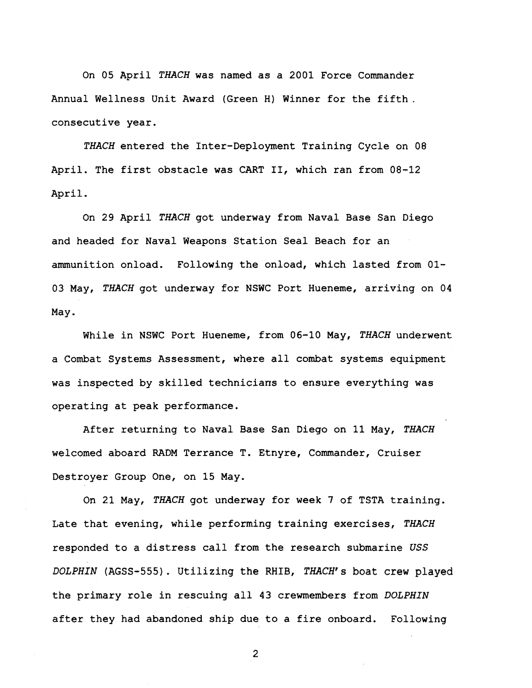On **05** April *THACH* was named as a **2001** Force Commander Annual Wellness Unit Award (Green H) Winner for the fifth. consecutive year.

THACH entered the Inter-Deployment Training Cycle on 08 April, The first obstacle was CART **11,** which ran from 08-12 April.

On 29 April *THACH* got underway from Naval Base San Oiego and headed for Naval Weapons Station Seal Beach for an ammunition onload. Following the onload, which lasted from **01- 03** May, *THACH* got underway for NSWC Port Hueneme, arriving on 04 May.

While in NSWC Port Hueneme, from 06-10 May, *THACH* underwent a Combat Systems Assessment, where all combat systems equipment was inspected by skilled technicians to ensure everything was operating at peak performance.

After returning to Naval Base San Diego on **11** May, *THACH*  welcomed aboard **RADM** Terrance T. Etnyre, Commander, Cruiser Destroyer Group One, on 15 May.

On 21 May, *THACH* got underway for week 7 of TSTA training. Late that evening, while performing training exercises, THACH responded to *a* distress call from the research submarine USS DOLPHIN (AGSS-555) . **Utilizing the** RHIB, **THACH's** boat crew played the primary role in rescuing all 43 crewmembers from *DOLPHIN*  after they had abandoned ship due to a fire onboard. Following

 $\overline{2}$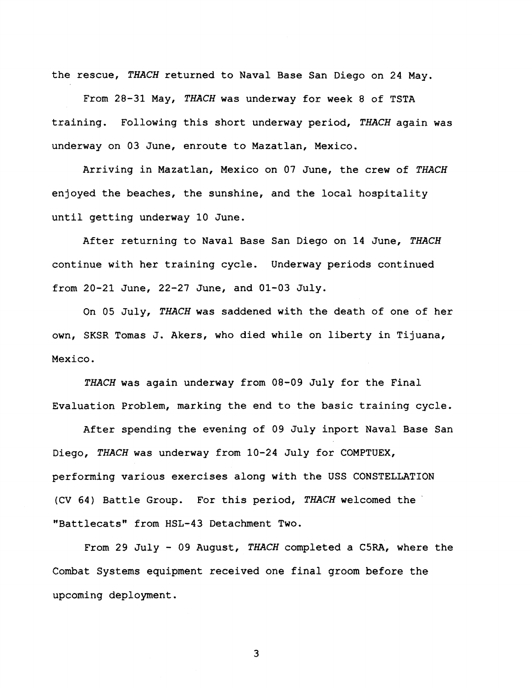the rescue, *THACH* returned to Naval Base San Diego on 24 May.

From **28-31** May, *THACH* was underway for week 8 of TSTA training. Following this short underway period, *THACH* again was underway on **03** June, enroute to Mazatlan, Mexico.

Arriving in Mazatlan, Mexico on 07 June, the crew of *THACH*  enjoyed the beaches, the sunshine, and the local hospitality until getting underway **10** June.

After returning to Naval Base San Diego on **14** June, THACH continue with her training cycle. Underway periods continued from **20-21** June, 22-27 June, and **01-03** July.

On **05** July, *THACH* was saddened with the death of one of her own, SKSR Tomas J. Akers, who died while on liberty in Tijuana, Mexico,

**TMCH** was again underway from **08-09** July for the Final Evaluation Problem, marking the end to the basic training cycle.

After spending the evening of 09 July inport Naval Base San Diego, *THACH* was underway from **10-24** July for COMPTUEX, performing various exercises along with the USS CONSTELLATION (CV **64)** Battle Group. For this period, *TItACH* welcomed the "Battlecats" from **HSL-43** Detachment Two.

From 29 July - **09** August, *THACH* completed a **C5RA,** where the Combat Systems equipment received one final groom before the upcoming deployment.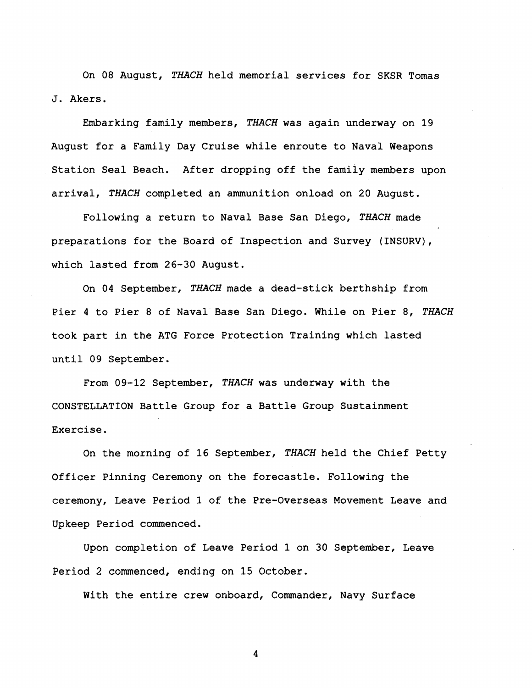On 08 August, *THACH* held memorial services for SKSR Tomas **J.** Akers.

Embarking family members, *TILACH* was again underway on 19 August for a Family Day Cruise while enroute to Naval Weapons Station Seal Beach. After dropping off the family members upon arrival, *THACH* completed an ammunition onload on 20 August.

Following a return to Naval Base San Diego, THACH made preparations for the Board of Inspection and Survey (INSURV), which lasted from 26-30 August.

On 04 September, THACH made a dead-stick berthship from Pier 4 to Pier 8 of Naval Base San Diego. While on Pier 8, *THACH*  took part in the ATG Force Protection Training which lasted until 09 September.

From 09-12 September, THACH was underway with the CONSTELLATION Battle Group for a Battle Group Sustainment Exercise.

On the morning of 16 September, *THACH* held the Chief Petty Officer Pinning Ceremony on the forecastle. Following the ceremony, Leave Period **1** of the Pre-Overseas Movement Leave and Upkeep Period commenced.

Upon completion of Leave Period 1 on 30 September, Leave Period 2 commenced, ending on 15 October.

With the entire crew onboard, Commander, Navy Surface

 $\boldsymbol{4}$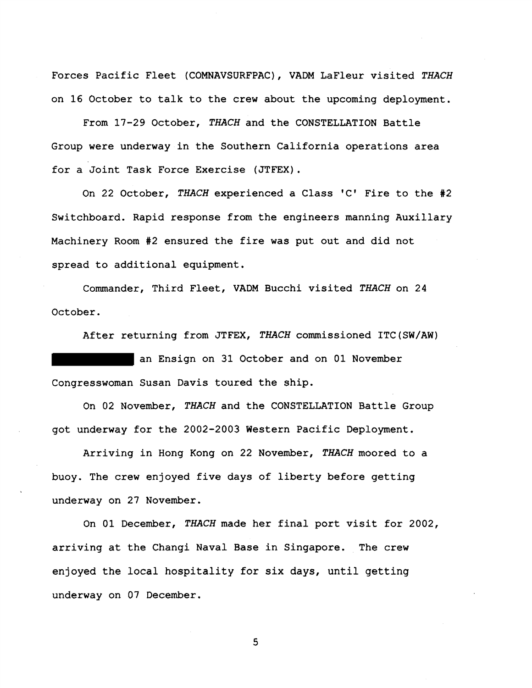Forces Pacific Fleet (COMNAVSURFPAC), VADM LaFleur visited THACH on 16 October to talk to the crew about the upcoming deployment.

From 17-29 October, *THACH* and the CONSTELLATION Battle Group were underway in the Southern California operations area for a Joint Task Force Exercise (JTFEX).

On 22 October, *THACH* experienced a Class **'C'** Fire to the #2 Switchboard. Rapid response from the engineers manning Auxillary Machinery Room #2 ensured the fire was put out and did not spread to additional equipment.

Commander, Third Fleet, VADM Bucchi visited *THACH* on 24 October.

After returning from JTFEX, *THACH* commissioned ITC(SW/AW) an Ensign on 31 October and on 01 November Congresswoman Susan Davis toured the ship.

On 02 November, *THACH* and the CONSTELLATION Battle Group got underway for the 2002-2003 Western Pacific Deployment.

Arriving in Hong Kong on 22 November, *THACH* moored to a buoy. The crew enjoyed five days of liberty before getting underway on 27 November.

On 01 December, *THACH* made her final port visit for 2002, arriving at the Changi Naval Base in Singapore. The crew enjoyed the local hospitality for six days, until getting underway on 07 December.